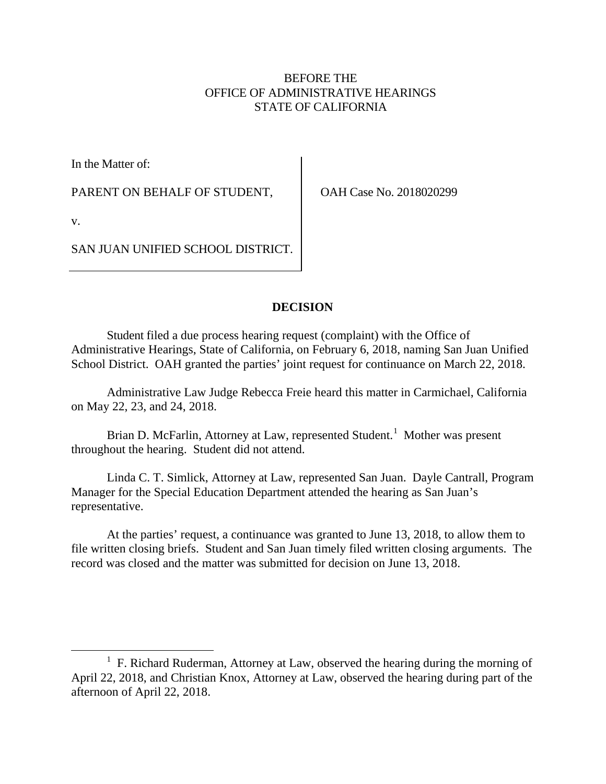# BEFORE THE OFFICE OF ADMINISTRATIVE HEARINGS STATE OF CALIFORNIA

In the Matter of:

PARENT ON BEHALF OF STUDENT,

OAH Case No. 2018020299

v.

SAN JUAN UNIFIED SCHOOL DISTRICT.

# **DECISION**

Student filed a due process hearing request (complaint) with the Office of Administrative Hearings, State of California, on February 6, 2018, naming San Juan Unified School District. OAH granted the parties' joint request for continuance on March 22, 2018.

Administrative Law Judge Rebecca Freie heard this matter in Carmichael, California on May 22, 23, and 24, 2018.

Brian D. McFarlin, Attorney at Law, represented Student.<sup>[1](#page-0-0)</sup> Mother was present throughout the hearing. Student did not attend.

Linda C. T. Simlick, Attorney at Law, represented San Juan. Dayle Cantrall, Program Manager for the Special Education Department attended the hearing as San Juan's representative.

At the parties' request, a continuance was granted to June 13, 2018, to allow them to file written closing briefs. Student and San Juan timely filed written closing arguments. The record was closed and the matter was submitted for decision on June 13, 2018.

<span id="page-0-0"></span><sup>&</sup>lt;sup>1</sup> F. Richard Ruderman, Attorney at Law, observed the hearing during the morning of April 22, 2018, and Christian Knox, Attorney at Law, observed the hearing during part of the afternoon of April 22, 2018.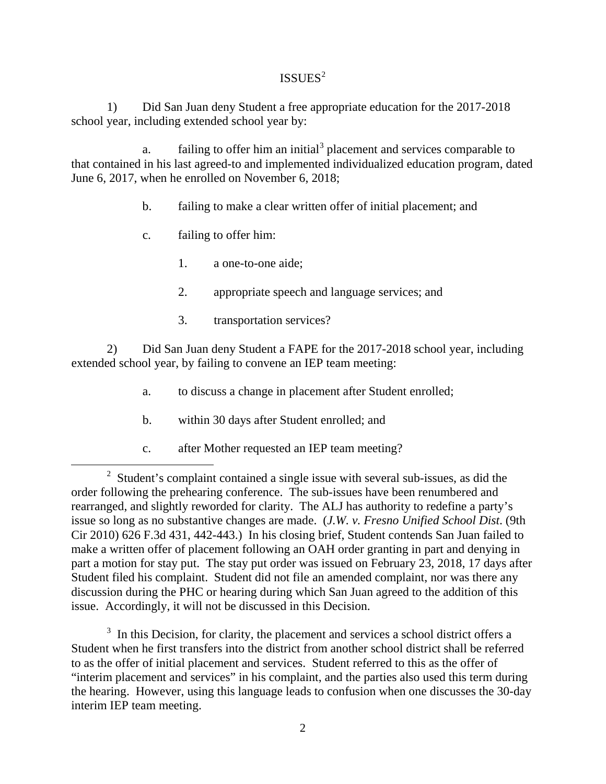# $ISSUES<sup>2</sup>$  $ISSUES<sup>2</sup>$  $ISSUES<sup>2</sup>$

1) Did San Juan deny Student a free appropriate education for the 2017-2018 school year, including extended school year by:

a. failing to offer him an initial<sup>[3](#page-1-1)</sup> placement and services comparable to that contained in his last agreed-to and implemented individualized education program, dated June 6, 2017, when he enrolled on November 6, 2018;

- b. failing to make a clear written offer of initial placement; and
- c. failing to offer him:
	- 1. a one-to-one aide;
	- 2. appropriate speech and language services; and
	- 3. transportation services?

2) Did San Juan deny Student a FAPE for the 2017-2018 school year, including extended school year, by failing to convene an IEP team meeting:

- a. to discuss a change in placement after Student enrolled;
- b. within 30 days after Student enrolled; and
- c. after Mother requested an IEP team meeting?

<span id="page-1-0"></span> <sup>2</sup>  $\frac{1}{2}$  Student's complaint contained a single issue with several sub-issues, as did the order following the prehearing conference. The sub-issues have been renumbered and rearranged, and slightly reworded for clarity. The ALJ has authority to redefine a party's issue so long as no substantive changes are made. (*J.W. v. Fresno Unified School Dist*. (9th Cir 2010) 626 F.3d 431, 442-443.) In his closing brief, Student contends San Juan failed to make a written offer of placement following an OAH order granting in part and denying in part a motion for stay put. The stay put order was issued on February 23, 2018, 17 days after Student filed his complaint. Student did not file an amended complaint, nor was there any discussion during the PHC or hearing during which San Juan agreed to the addition of this issue. Accordingly, it will not be discussed in this Decision.

<span id="page-1-1"></span> $3\,$  In this Decision, for clarity, the placement and services a school district offers a Student when he first transfers into the district from another school district shall be referred to as the offer of initial placement and services. Student referred to this as the offer of "interim placement and services" in his complaint, and the parties also used this term during the hearing. However, using this language leads to confusion when one discusses the 30-day interim IEP team meeting.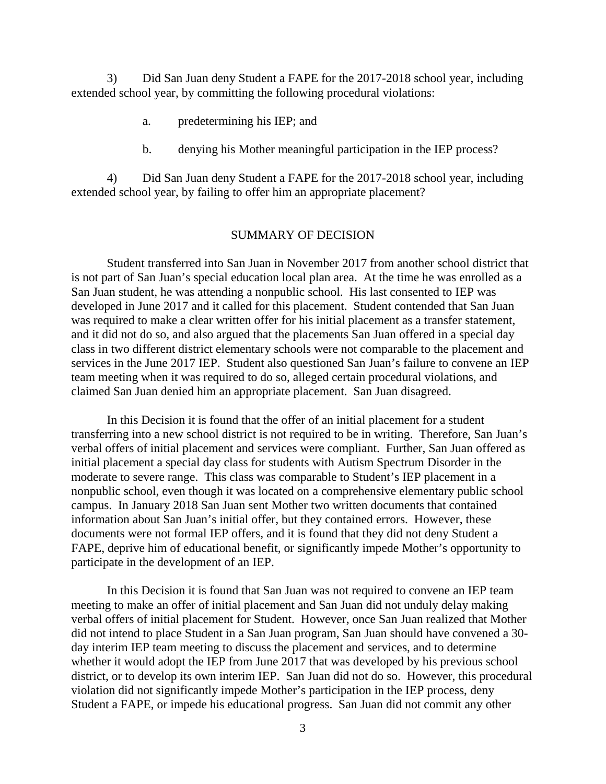3) Did San Juan deny Student a FAPE for the 2017-2018 school year, including extended school year, by committing the following procedural violations:

- a. predetermining his IEP; and
- b. denying his Mother meaningful participation in the IEP process?

4) Did San Juan deny Student a FAPE for the 2017-2018 school year, including extended school year, by failing to offer him an appropriate placement?

#### SUMMARY OF DECISION

Student transferred into San Juan in November 2017 from another school district that is not part of San Juan's special education local plan area. At the time he was enrolled as a San Juan student, he was attending a nonpublic school. His last consented to IEP was developed in June 2017 and it called for this placement. Student contended that San Juan was required to make a clear written offer for his initial placement as a transfer statement, and it did not do so, and also argued that the placements San Juan offered in a special day class in two different district elementary schools were not comparable to the placement and services in the June 2017 IEP. Student also questioned San Juan's failure to convene an IEP team meeting when it was required to do so, alleged certain procedural violations, and claimed San Juan denied him an appropriate placement. San Juan disagreed.

In this Decision it is found that the offer of an initial placement for a student transferring into a new school district is not required to be in writing. Therefore, San Juan's verbal offers of initial placement and services were compliant. Further, San Juan offered as initial placement a special day class for students with Autism Spectrum Disorder in the moderate to severe range. This class was comparable to Student's IEP placement in a nonpublic school, even though it was located on a comprehensive elementary public school campus. In January 2018 San Juan sent Mother two written documents that contained information about San Juan's initial offer, but they contained errors. However, these documents were not formal IEP offers, and it is found that they did not deny Student a FAPE, deprive him of educational benefit, or significantly impede Mother's opportunity to participate in the development of an IEP.

In this Decision it is found that San Juan was not required to convene an IEP team meeting to make an offer of initial placement and San Juan did not unduly delay making verbal offers of initial placement for Student. However, once San Juan realized that Mother did not intend to place Student in a San Juan program, San Juan should have convened a 30 day interim IEP team meeting to discuss the placement and services, and to determine whether it would adopt the IEP from June 2017 that was developed by his previous school district, or to develop its own interim IEP. San Juan did not do so. However, this procedural violation did not significantly impede Mother's participation in the IEP process, deny Student a FAPE, or impede his educational progress. San Juan did not commit any other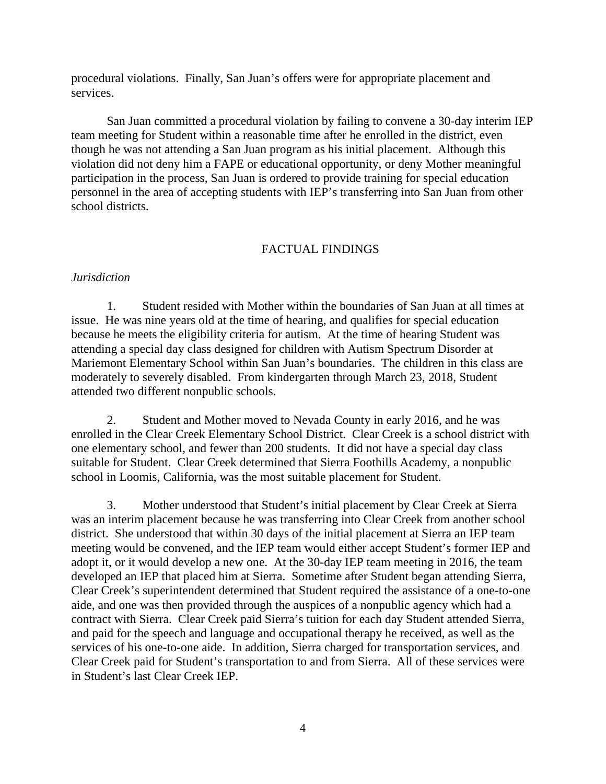procedural violations. Finally, San Juan's offers were for appropriate placement and services.

San Juan committed a procedural violation by failing to convene a 30-day interim IEP team meeting for Student within a reasonable time after he enrolled in the district, even though he was not attending a San Juan program as his initial placement. Although this violation did not deny him a FAPE or educational opportunity, or deny Mother meaningful participation in the process, San Juan is ordered to provide training for special education personnel in the area of accepting students with IEP's transferring into San Juan from other school districts.

### FACTUAL FINDINGS

### *Jurisdiction*

1. Student resided with Mother within the boundaries of San Juan at all times at issue. He was nine years old at the time of hearing, and qualifies for special education because he meets the eligibility criteria for autism. At the time of hearing Student was attending a special day class designed for children with Autism Spectrum Disorder at Mariemont Elementary School within San Juan's boundaries. The children in this class are moderately to severely disabled. From kindergarten through March 23, 2018, Student attended two different nonpublic schools.

2. Student and Mother moved to Nevada County in early 2016, and he was enrolled in the Clear Creek Elementary School District. Clear Creek is a school district with one elementary school, and fewer than 200 students. It did not have a special day class suitable for Student. Clear Creek determined that Sierra Foothills Academy, a nonpublic school in Loomis, California, was the most suitable placement for Student.

3. Mother understood that Student's initial placement by Clear Creek at Sierra was an interim placement because he was transferring into Clear Creek from another school district. She understood that within 30 days of the initial placement at Sierra an IEP team meeting would be convened, and the IEP team would either accept Student's former IEP and adopt it, or it would develop a new one. At the 30-day IEP team meeting in 2016, the team developed an IEP that placed him at Sierra. Sometime after Student began attending Sierra, Clear Creek's superintendent determined that Student required the assistance of a one-to-one aide, and one was then provided through the auspices of a nonpublic agency which had a contract with Sierra. Clear Creek paid Sierra's tuition for each day Student attended Sierra, and paid for the speech and language and occupational therapy he received, as well as the services of his one-to-one aide. In addition, Sierra charged for transportation services, and Clear Creek paid for Student's transportation to and from Sierra. All of these services were in Student's last Clear Creek IEP.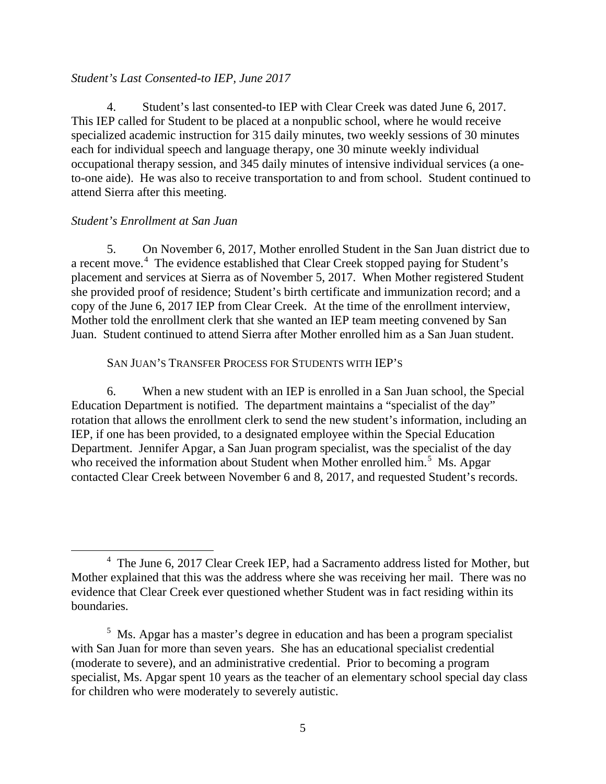### *Student's Last Consented-to IEP, June 2017*

4. Student's last consented-to IEP with Clear Creek was dated June 6, 2017. This IEP called for Student to be placed at a nonpublic school, where he would receive specialized academic instruction for 315 daily minutes, two weekly sessions of 30 minutes each for individual speech and language therapy, one 30 minute weekly individual occupational therapy session, and 345 daily minutes of intensive individual services (a oneto-one aide). He was also to receive transportation to and from school. Student continued to attend Sierra after this meeting.

### *Student's Enrollment at San Juan*

5. On November 6, 2017, Mother enrolled Student in the San Juan district due to a recent move.<sup>[4](#page-4-0)</sup> The evidence established that Clear Creek stopped paying for Student's placement and services at Sierra as of November 5, 2017. When Mother registered Student she provided proof of residence; Student's birth certificate and immunization record; and a copy of the June 6, 2017 IEP from Clear Creek. At the time of the enrollment interview, Mother told the enrollment clerk that she wanted an IEP team meeting convened by San Juan. Student continued to attend Sierra after Mother enrolled him as a San Juan student.

### SAN JUAN'S TRANSFER PROCESS FOR STUDENTS WITH IEP'S

6. When a new student with an IEP is enrolled in a San Juan school, the Special Education Department is notified. The department maintains a "specialist of the day" rotation that allows the enrollment clerk to send the new student's information, including an IEP, if one has been provided, to a designated employee within the Special Education Department. Jennifer Apgar, a San Juan program specialist, was the specialist of the day who received the information about Student when Mother enrolled him.<sup>[5](#page-4-1)</sup> Ms. Apgar contacted Clear Creek between November 6 and 8, 2017, and requested Student's records.

<span id="page-4-0"></span> <sup>4</sup> The June 6, 2017 Clear Creek IEP, had a Sacramento address listed for Mother, but Mother explained that this was the address where she was receiving her mail. There was no evidence that Clear Creek ever questioned whether Student was in fact residing within its boundaries.

<span id="page-4-1"></span> $<sup>5</sup>$  Ms. Apgar has a master's degree in education and has been a program specialist</sup> with San Juan for more than seven years. She has an educational specialist credential (moderate to severe), and an administrative credential. Prior to becoming a program specialist, Ms. Apgar spent 10 years as the teacher of an elementary school special day class for children who were moderately to severely autistic.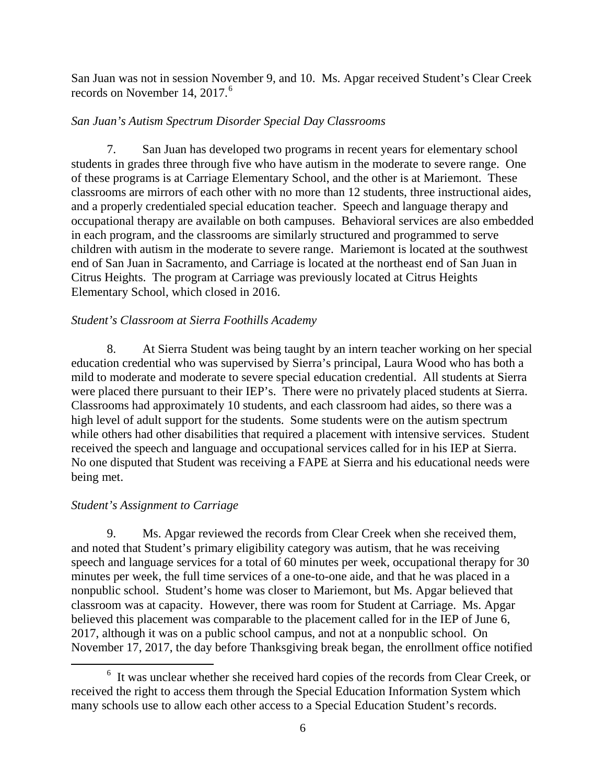San Juan was not in session November 9, and 10. Ms. Apgar received Student's Clear Creek records on November 14, 2017.<sup>[6](#page-5-0)</sup>

# *San Juan's Autism Spectrum Disorder Special Day Classrooms*

7. San Juan has developed two programs in recent years for elementary school students in grades three through five who have autism in the moderate to severe range. One of these programs is at Carriage Elementary School, and the other is at Mariemont. These classrooms are mirrors of each other with no more than 12 students, three instructional aides, and a properly credentialed special education teacher. Speech and language therapy and occupational therapy are available on both campuses. Behavioral services are also embedded in each program, and the classrooms are similarly structured and programmed to serve children with autism in the moderate to severe range. Mariemont is located at the southwest end of San Juan in Sacramento, and Carriage is located at the northeast end of San Juan in Citrus Heights. The program at Carriage was previously located at Citrus Heights Elementary School, which closed in 2016.

# *Student's Classroom at Sierra Foothills Academy*

8. At Sierra Student was being taught by an intern teacher working on her special education credential who was supervised by Sierra's principal, Laura Wood who has both a mild to moderate and moderate to severe special education credential. All students at Sierra were placed there pursuant to their IEP's. There were no privately placed students at Sierra. Classrooms had approximately 10 students, and each classroom had aides, so there was a high level of adult support for the students. Some students were on the autism spectrum while others had other disabilities that required a placement with intensive services. Student received the speech and language and occupational services called for in his IEP at Sierra. No one disputed that Student was receiving a FAPE at Sierra and his educational needs were being met.

# *Student's Assignment to Carriage*

9. Ms. Apgar reviewed the records from Clear Creek when she received them, and noted that Student's primary eligibility category was autism, that he was receiving speech and language services for a total of 60 minutes per week, occupational therapy for 30 minutes per week, the full time services of a one-to-one aide, and that he was placed in a nonpublic school. Student's home was closer to Mariemont, but Ms. Apgar believed that classroom was at capacity. However, there was room for Student at Carriage. Ms. Apgar believed this placement was comparable to the placement called for in the IEP of June 6, 2017, although it was on a public school campus, and not at a nonpublic school. On November 17, 2017, the day before Thanksgiving break began, the enrollment office notified

<span id="page-5-0"></span> <sup>6</sup> It was unclear whether she received hard copies of the records from Clear Creek, or received the right to access them through the Special Education Information System which many schools use to allow each other access to a Special Education Student's records.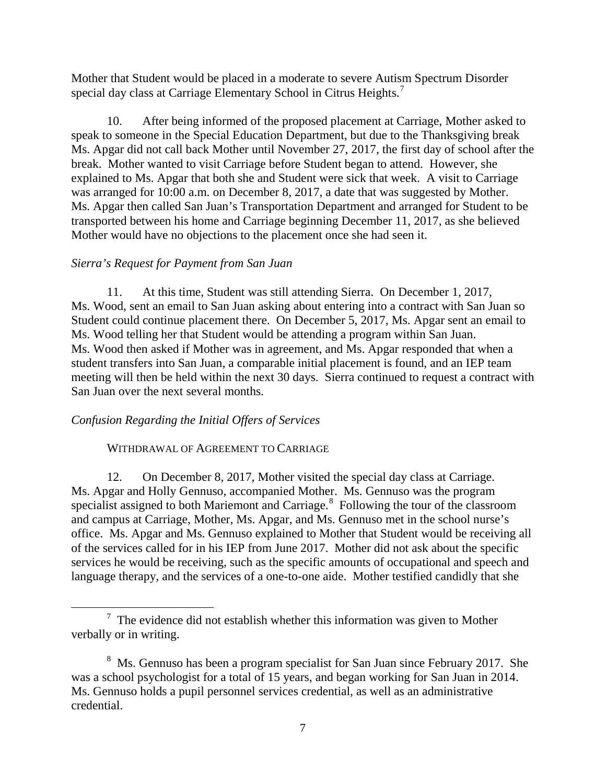Mother that Student would be placed in a moderate to severe Autism Spectrum Disorder special day class at Carriage Elementary School in Citrus Heights.<sup>[7](#page-6-0)</sup>

10. After being informed of the proposed placement at Carriage, Mother asked to speak to someone in the Special Education Department, but due to the Thanksgiving break Ms. Apgar did not call back Mother until November 27, 2017, the first day of school after the break. Mother wanted to visit Carriage before Student began to attend. However, she explained to Ms. Apgar that both she and Student were sick that week. A visit to Carriage was arranged for 10:00 a.m. on December 8, 2017, a date that was suggested by Mother. Ms. Apgar then called San Juan's Transportation Department and arranged for Student to be transported between his home and Carriage beginning December 11, 2017, as she believed Mother would have no objections to the placement once she had seen it.

# *Sierra's Request for Payment from San Juan*

11. At this time, Student was still attending Sierra. On December 1, 2017, Ms. Wood, sent an email to San Juan asking about entering into a contract with San Juan so Student could continue placement there. On December 5, 2017, Ms. Apgar sent an email to Ms. Wood telling her that Student would be attending a program within San Juan. Ms. Wood then asked if Mother was in agreement, and Ms. Apgar responded that when a student transfers into San Juan, a comparable initial placement is found, and an IEP team meeting will then be held within the next 30 days. Sierra continued to request a contract with San Juan over the next several months.

# *Confusion Regarding the Initial Offers of Services*

# WITHDRAWAL OF AGREEMENT TO CARRIAGE

12. On December 8, 2017, Mother visited the special day class at Carriage. Ms. Apgar and Holly Gennuso, accompanied Mother. Ms. Gennuso was the program specialist assigned to both Mariemont and Carriage.<sup>[8](#page-6-1)</sup> Following the tour of the classroom and campus at Carriage, Mother, Ms. Apgar, and Ms. Gennuso met in the school nurse's office. Ms. Apgar and Ms. Gennuso explained to Mother that Student would be receiving all of the services called for in his IEP from June 2017. Mother did not ask about the specific services he would be receiving, such as the specific amounts of occupational and speech and language therapy, and the services of a one-to-one aide. Mother testified candidly that she

<span id="page-6-0"></span> $<sup>7</sup>$  The evidence did not establish whether this information was given to Mother</sup> verbally or in writing.

<span id="page-6-1"></span><sup>&</sup>lt;sup>8</sup> Ms. Gennuso has been a program specialist for San Juan since February 2017. She was a school psychologist for a total of 15 years, and began working for San Juan in 2014. Ms. Gennuso holds a pupil personnel services credential, as well as an administrative credential.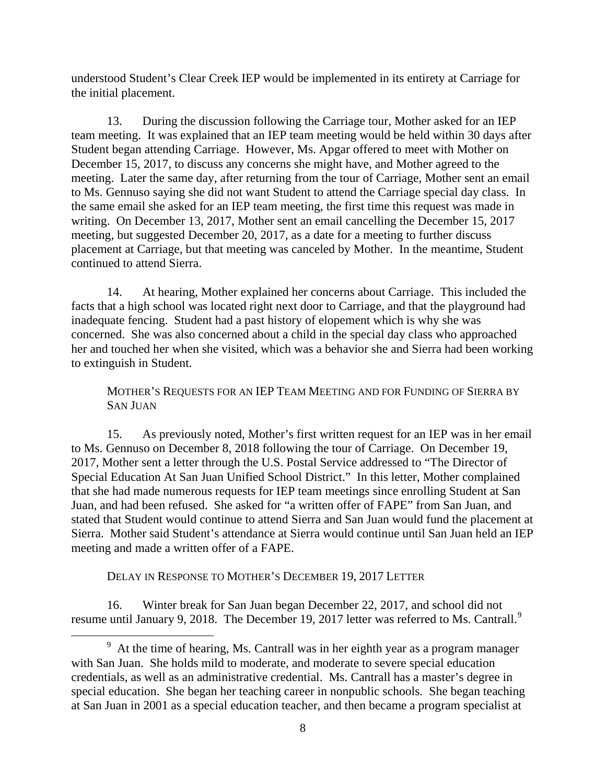understood Student's Clear Creek IEP would be implemented in its entirety at Carriage for the initial placement.

13. During the discussion following the Carriage tour, Mother asked for an IEP team meeting. It was explained that an IEP team meeting would be held within 30 days after Student began attending Carriage. However, Ms. Apgar offered to meet with Mother on December 15, 2017, to discuss any concerns she might have, and Mother agreed to the meeting. Later the same day, after returning from the tour of Carriage, Mother sent an email to Ms. Gennuso saying she did not want Student to attend the Carriage special day class. In the same email she asked for an IEP team meeting, the first time this request was made in writing. On December 13, 2017, Mother sent an email cancelling the December 15, 2017 meeting, but suggested December 20, 2017, as a date for a meeting to further discuss placement at Carriage, but that meeting was canceled by Mother. In the meantime, Student continued to attend Sierra.

14. At hearing, Mother explained her concerns about Carriage. This included the facts that a high school was located right next door to Carriage, and that the playground had inadequate fencing. Student had a past history of elopement which is why she was concerned. She was also concerned about a child in the special day class who approached her and touched her when she visited, which was a behavior she and Sierra had been working to extinguish in Student.

MOTHER'S REQUESTS FOR AN IEP TEAM MEETING AND FOR FUNDING OF SIERRA BY SAN JUAN

15. As previously noted, Mother's first written request for an IEP was in her email to Ms. Gennuso on December 8, 2018 following the tour of Carriage. On December 19, 2017, Mother sent a letter through the U.S. Postal Service addressed to "The Director of Special Education At San Juan Unified School District." In this letter, Mother complained that she had made numerous requests for IEP team meetings since enrolling Student at San Juan, and had been refused. She asked for "a written offer of FAPE" from San Juan, and stated that Student would continue to attend Sierra and San Juan would fund the placement at Sierra. Mother said Student's attendance at Sierra would continue until San Juan held an IEP meeting and made a written offer of a FAPE.

DELAY IN RESPONSE TO MOTHER'S DECEMBER 19, 2017 LETTER

16. Winter break for San Juan began December 22, 2017, and school did not resume until January [9](#page-7-0), 2018. The December 19, 2017 letter was referred to Ms. Cantrall.<sup>9</sup>

<span id="page-7-0"></span><sup>&</sup>lt;sup>9</sup> At the time of hearing, Ms. Cantrall was in her eighth year as a program manager with San Juan. She holds mild to moderate, and moderate to severe special education credentials, as well as an administrative credential. Ms. Cantrall has a master's degree in special education. She began her teaching career in nonpublic schools. She began teaching at San Juan in 2001 as a special education teacher, and then became a program specialist at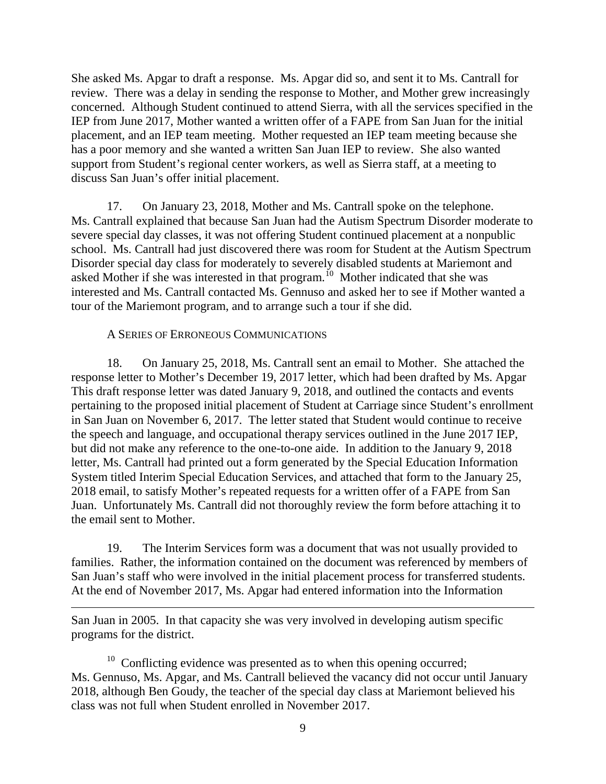She asked Ms. Apgar to draft a response. Ms. Apgar did so, and sent it to Ms. Cantrall for review. There was a delay in sending the response to Mother, and Mother grew increasingly concerned. Although Student continued to attend Sierra, with all the services specified in the IEP from June 2017, Mother wanted a written offer of a FAPE from San Juan for the initial placement, and an IEP team meeting. Mother requested an IEP team meeting because she has a poor memory and she wanted a written San Juan IEP to review. She also wanted support from Student's regional center workers, as well as Sierra staff, at a meeting to discuss San Juan's offer initial placement.

17. On January 23, 2018, Mother and Ms. Cantrall spoke on the telephone. Ms. Cantrall explained that because San Juan had the Autism Spectrum Disorder moderate to severe special day classes, it was not offering Student continued placement at a nonpublic school. Ms. Cantrall had just discovered there was room for Student at the Autism Spectrum Disorder special day class for moderately to severely disabled students at Mariemont and asked Mother if she was interested in that program.[10](#page-8-0) Mother indicated that she was interested and Ms. Cantrall contacted Ms. Gennuso and asked her to see if Mother wanted a tour of the Mariemont program, and to arrange such a tour if she did.

### A SERIES OF ERRONEOUS COMMUNICATIONS

 $\overline{a}$ 

18. On January 25, 2018, Ms. Cantrall sent an email to Mother. She attached the response letter to Mother's December 19, 2017 letter, which had been drafted by Ms. Apgar This draft response letter was dated January 9, 2018, and outlined the contacts and events pertaining to the proposed initial placement of Student at Carriage since Student's enrollment in San Juan on November 6, 2017. The letter stated that Student would continue to receive the speech and language, and occupational therapy services outlined in the June 2017 IEP, but did not make any reference to the one-to-one aide. In addition to the January 9, 2018 letter, Ms. Cantrall had printed out a form generated by the Special Education Information System titled Interim Special Education Services, and attached that form to the January 25, 2018 email, to satisfy Mother's repeated requests for a written offer of a FAPE from San Juan. Unfortunately Ms. Cantrall did not thoroughly review the form before attaching it to the email sent to Mother.

19. The Interim Services form was a document that was not usually provided to families. Rather, the information contained on the document was referenced by members of San Juan's staff who were involved in the initial placement process for transferred students. At the end of November 2017, Ms. Apgar had entered information into the Information

San Juan in 2005. In that capacity she was very involved in developing autism specific programs for the district.

<span id="page-8-0"></span><sup>10</sup> Conflicting evidence was presented as to when this opening occurred; Ms. Gennuso, Ms. Apgar, and Ms. Cantrall believed the vacancy did not occur until January 2018, although Ben Goudy, the teacher of the special day class at Mariemont believed his class was not full when Student enrolled in November 2017.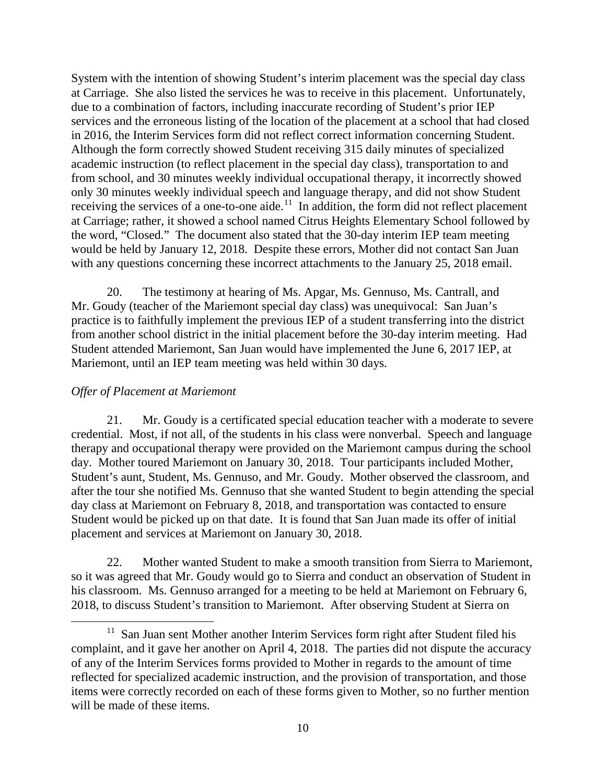System with the intention of showing Student's interim placement was the special day class at Carriage. She also listed the services he was to receive in this placement. Unfortunately, due to a combination of factors, including inaccurate recording of Student's prior IEP services and the erroneous listing of the location of the placement at a school that had closed in 2016, the Interim Services form did not reflect correct information concerning Student. Although the form correctly showed Student receiving 315 daily minutes of specialized academic instruction (to reflect placement in the special day class), transportation to and from school, and 30 minutes weekly individual occupational therapy, it incorrectly showed only 30 minutes weekly individual speech and language therapy, and did not show Student receiving the services of a one-to-one aide.<sup>[11](#page-9-0)</sup> In addition, the form did not reflect placement at Carriage; rather, it showed a school named Citrus Heights Elementary School followed by the word, "Closed." The document also stated that the 30-day interim IEP team meeting would be held by January 12, 2018. Despite these errors, Mother did not contact San Juan with any questions concerning these incorrect attachments to the January 25, 2018 email.

20. The testimony at hearing of Ms. Apgar, Ms. Gennuso, Ms. Cantrall, and Mr. Goudy (teacher of the Mariemont special day class) was unequivocal: San Juan's practice is to faithfully implement the previous IEP of a student transferring into the district from another school district in the initial placement before the 30-day interim meeting. Had Student attended Mariemont, San Juan would have implemented the June 6, 2017 IEP, at Mariemont, until an IEP team meeting was held within 30 days.

# *Offer of Placement at Mariemont*

21. Mr. Goudy is a certificated special education teacher with a moderate to severe credential. Most, if not all, of the students in his class were nonverbal. Speech and language therapy and occupational therapy were provided on the Mariemont campus during the school day. Mother toured Mariemont on January 30, 2018. Tour participants included Mother, Student's aunt, Student, Ms. Gennuso, and Mr. Goudy. Mother observed the classroom, and after the tour she notified Ms. Gennuso that she wanted Student to begin attending the special day class at Mariemont on February 8, 2018, and transportation was contacted to ensure Student would be picked up on that date. It is found that San Juan made its offer of initial placement and services at Mariemont on January 30, 2018.

22. Mother wanted Student to make a smooth transition from Sierra to Mariemont, so it was agreed that Mr. Goudy would go to Sierra and conduct an observation of Student in his classroom. Ms. Gennuso arranged for a meeting to be held at Mariemont on February 6, 2018, to discuss Student's transition to Mariemont. After observing Student at Sierra on

<span id="page-9-0"></span><sup>&</sup>lt;sup>11</sup> San Juan sent Mother another Interim Services form right after Student filed his complaint, and it gave her another on April 4, 2018. The parties did not dispute the accuracy of any of the Interim Services forms provided to Mother in regards to the amount of time reflected for specialized academic instruction, and the provision of transportation, and those items were correctly recorded on each of these forms given to Mother, so no further mention will be made of these items.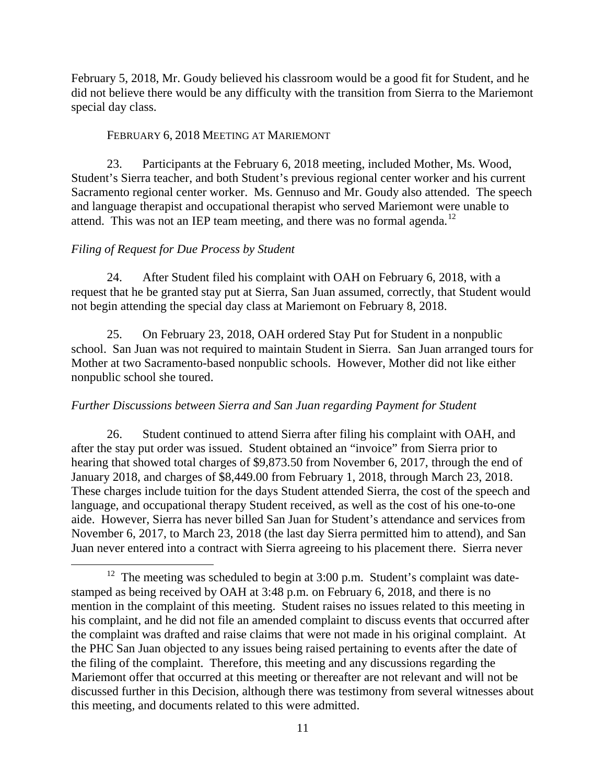February 5, 2018, Mr. Goudy believed his classroom would be a good fit for Student, and he did not believe there would be any difficulty with the transition from Sierra to the Mariemont special day class.

# FEBRUARY 6, 2018 MEETING AT MARIEMONT

23. Participants at the February 6, 2018 meeting, included Mother, Ms. Wood, Student's Sierra teacher, and both Student's previous regional center worker and his current Sacramento regional center worker. Ms. Gennuso and Mr. Goudy also attended. The speech and language therapist and occupational therapist who served Mariemont were unable to attend. This was not an IEP team meeting, and there was no formal agenda.<sup>12</sup>

# *Filing of Request for Due Process by Student*

24. After Student filed his complaint with OAH on February 6, 2018, with a request that he be granted stay put at Sierra, San Juan assumed, correctly, that Student would not begin attending the special day class at Mariemont on February 8, 2018.

25. On February 23, 2018, OAH ordered Stay Put for Student in a nonpublic school. San Juan was not required to maintain Student in Sierra. San Juan arranged tours for Mother at two Sacramento-based nonpublic schools. However, Mother did not like either nonpublic school she toured.

# *Further Discussions between Sierra and San Juan regarding Payment for Student*

26. Student continued to attend Sierra after filing his complaint with OAH, and after the stay put order was issued. Student obtained an "invoice" from Sierra prior to hearing that showed total charges of \$9,873.50 from November 6, 2017, through the end of January 2018, and charges of \$8,449.00 from February 1, 2018, through March 23, 2018. These charges include tuition for the days Student attended Sierra, the cost of the speech and language, and occupational therapy Student received, as well as the cost of his one-to-one aide. However, Sierra has never billed San Juan for Student's attendance and services from November 6, 2017, to March 23, 2018 (the last day Sierra permitted him to attend), and San Juan never entered into a contract with Sierra agreeing to his placement there. Sierra never

<span id="page-10-0"></span> $12$  The meeting was scheduled to begin at 3:00 p.m. Student's complaint was datestamped as being received by OAH at 3:48 p.m. on February 6, 2018, and there is no mention in the complaint of this meeting. Student raises no issues related to this meeting in his complaint, and he did not file an amended complaint to discuss events that occurred after the complaint was drafted and raise claims that were not made in his original complaint. At the PHC San Juan objected to any issues being raised pertaining to events after the date of the filing of the complaint. Therefore, this meeting and any discussions regarding the Mariemont offer that occurred at this meeting or thereafter are not relevant and will not be discussed further in this Decision, although there was testimony from several witnesses about this meeting, and documents related to this were admitted.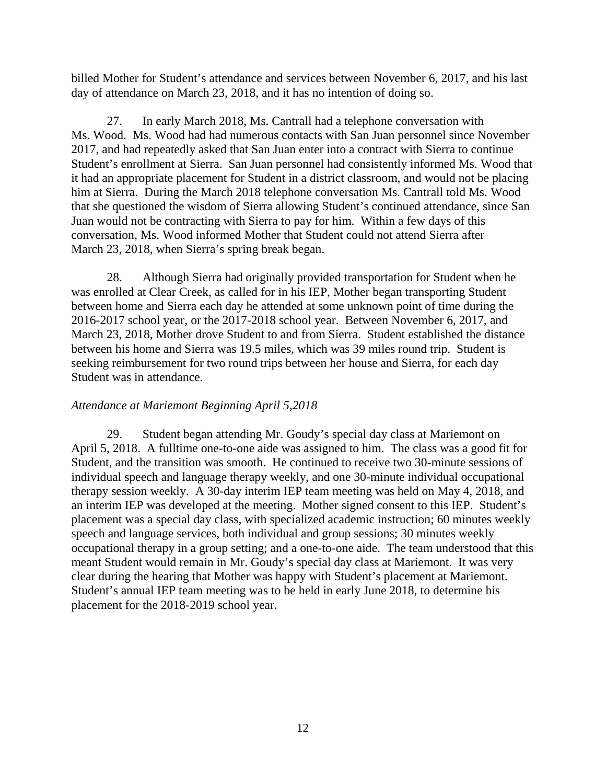billed Mother for Student's attendance and services between November 6, 2017, and his last day of attendance on March 23, 2018, and it has no intention of doing so.

27. In early March 2018, Ms. Cantrall had a telephone conversation with Ms. Wood. Ms. Wood had had numerous contacts with San Juan personnel since November 2017, and had repeatedly asked that San Juan enter into a contract with Sierra to continue Student's enrollment at Sierra. San Juan personnel had consistently informed Ms. Wood that it had an appropriate placement for Student in a district classroom, and would not be placing him at Sierra. During the March 2018 telephone conversation Ms. Cantrall told Ms. Wood that she questioned the wisdom of Sierra allowing Student's continued attendance, since San Juan would not be contracting with Sierra to pay for him. Within a few days of this conversation, Ms. Wood informed Mother that Student could not attend Sierra after March 23, 2018, when Sierra's spring break began.

28. Although Sierra had originally provided transportation for Student when he was enrolled at Clear Creek, as called for in his IEP, Mother began transporting Student between home and Sierra each day he attended at some unknown point of time during the 2016-2017 school year, or the 2017-2018 school year. Between November 6, 2017, and March 23, 2018, Mother drove Student to and from Sierra. Student established the distance between his home and Sierra was 19.5 miles, which was 39 miles round trip. Student is seeking reimbursement for two round trips between her house and Sierra, for each day Student was in attendance.

# *Attendance at Mariemont Beginning April 5,2018*

29. Student began attending Mr. Goudy's special day class at Mariemont on April 5, 2018. A fulltime one-to-one aide was assigned to him. The class was a good fit for Student, and the transition was smooth. He continued to receive two 30-minute sessions of individual speech and language therapy weekly, and one 30-minute individual occupational therapy session weekly. A 30-day interim IEP team meeting was held on May 4, 2018, and an interim IEP was developed at the meeting. Mother signed consent to this IEP. Student's placement was a special day class, with specialized academic instruction; 60 minutes weekly speech and language services, both individual and group sessions; 30 minutes weekly occupational therapy in a group setting; and a one-to-one aide. The team understood that this meant Student would remain in Mr. Goudy's special day class at Mariemont. It was very clear during the hearing that Mother was happy with Student's placement at Mariemont. Student's annual IEP team meeting was to be held in early June 2018, to determine his placement for the 2018-2019 school year.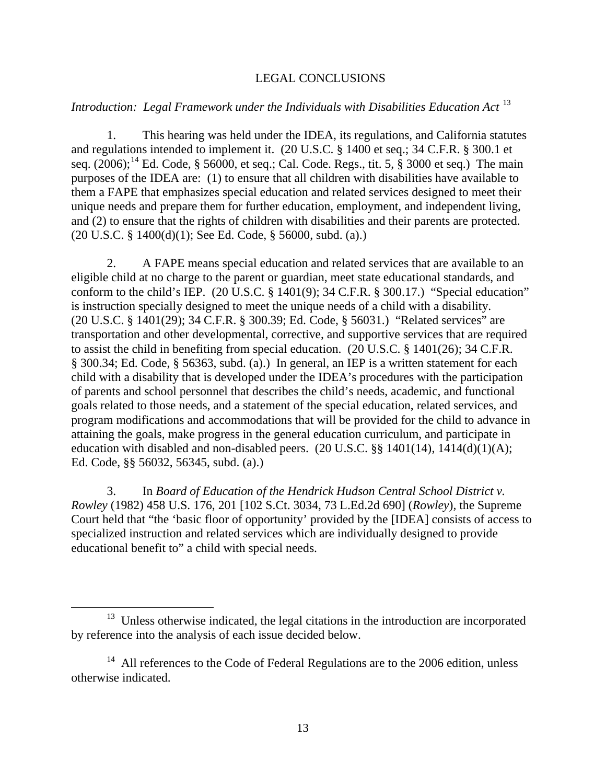### LEGAL CONCLUSIONS

### *Introduction: Legal Framework under the Individuals with Disabilities Education Act* [13](#page-12-0)

1. This hearing was held under the IDEA, its regulations, and California statutes and regulations intended to implement it. (20 U.S.C. § 1400 et seq.; 34 C.F.R. § 300.1 et seq. (2006);<sup>[14](#page-12-1)</sup> Ed. Code, § 56000, et seq.; Cal. Code. Regs., tit. 5, § 3000 et seq.) The main purposes of the IDEA are: (1) to ensure that all children with disabilities have available to them a FAPE that emphasizes special education and related services designed to meet their unique needs and prepare them for further education, employment, and independent living, and (2) to ensure that the rights of children with disabilities and their parents are protected. (20 U.S.C. § 1400(d)(1); See Ed. Code, § 56000, subd. (a).)

2. A FAPE means special education and related services that are available to an eligible child at no charge to the parent or guardian, meet state educational standards, and conform to the child's IEP. (20 U.S.C. § 1401(9); 34 C.F.R. § 300.17.) "Special education" is instruction specially designed to meet the unique needs of a child with a disability. (20 U.S.C. § 1401(29); 34 C.F.R. § 300.39; Ed. Code, § 56031.) "Related services" are transportation and other developmental, corrective, and supportive services that are required to assist the child in benefiting from special education. (20 U.S.C. § 1401(26); 34 C.F.R. § 300.34; Ed. Code, § 56363, subd. (a).) In general, an IEP is a written statement for each child with a disability that is developed under the IDEA's procedures with the participation of parents and school personnel that describes the child's needs, academic, and functional goals related to those needs, and a statement of the special education, related services, and program modifications and accommodations that will be provided for the child to advance in attaining the goals, make progress in the general education curriculum, and participate in education with disabled and non-disabled peers.  $(20 \text{ U.S.C.} \$ §  $1401(14)$ ,  $1414(d)(1)(A)$ ; Ed. Code, §§ 56032, 56345, subd. (a).)

3. In *Board of Education of the Hendrick Hudson Central School District v. Rowley* (1982) 458 U.S. 176, 201 [102 S.Ct. 3034, 73 L.Ed.2d 690] (*Rowley*)*,* the Supreme Court held that "the 'basic floor of opportunity' provided by the [IDEA] consists of access to specialized instruction and related services which are individually designed to provide educational benefit to" a child with special needs.

<span id="page-12-0"></span><sup>&</sup>lt;sup>13</sup> Unless otherwise indicated, the legal citations in the introduction are incorporated by reference into the analysis of each issue decided below.

<span id="page-12-1"></span> $14$  All references to the Code of Federal Regulations are to the 2006 edition, unless otherwise indicated.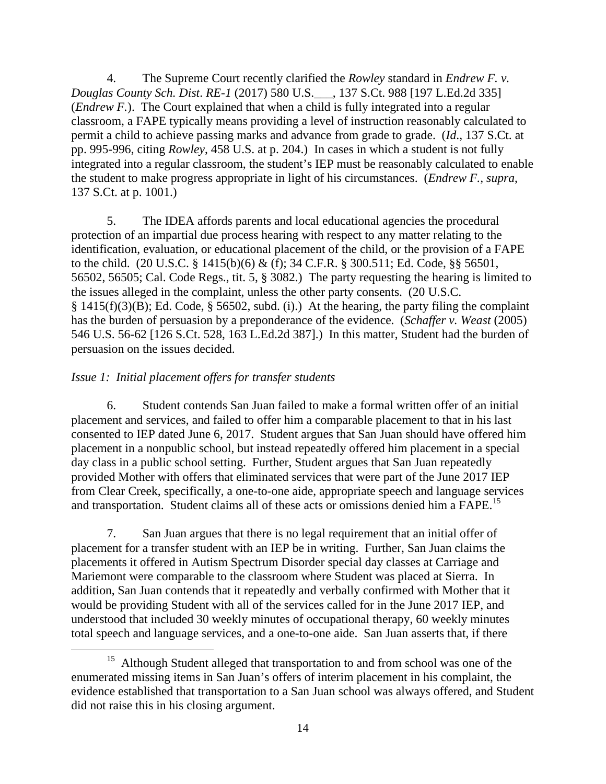4. The Supreme Court recently clarified the *Rowley* standard in *Endrew F. v. Douglas County Sch. Dist*. *RE-1* (2017) 580 U.S.\_\_\_, 137 S.Ct. 988 [197 L.Ed.2d 335] (*Endrew F.*). The Court explained that when a child is fully integrated into a regular classroom, a FAPE typically means providing a level of instruction reasonably calculated to permit a child to achieve passing marks and advance from grade to grade. (*Id*., 137 S.Ct. at pp. 995-996, citing *Rowley*, 458 U.S. at p. 204.) In cases in which a student is not fully integrated into a regular classroom, the student's IEP must be reasonably calculated to enable the student to make progress appropriate in light of his circumstances. (*Endrew F., supra*, 137 S.Ct. at p. 1001.)

5. The IDEA affords parents and local educational agencies the procedural protection of an impartial due process hearing with respect to any matter relating to the identification, evaluation, or educational placement of the child, or the provision of a FAPE to the child. (20 U.S.C. § 1415(b)(6) & (f); 34 C.F.R. § 300.511; Ed. Code, §§ 56501, 56502, 56505; Cal. Code Regs., tit. 5, § 3082.) The party requesting the hearing is limited to the issues alleged in the complaint, unless the other party consents. (20 U.S.C.  $§$  1415(f)(3)(B); Ed. Code,  $§$  56502, subd. (i).) At the hearing, the party filing the complaint has the burden of persuasion by a preponderance of the evidence. (*Schaffer v. Weast* (2005) 546 U.S. 56-62 [126 S.Ct. 528, 163 L.Ed.2d 387].) In this matter, Student had the burden of persuasion on the issues decided.

# *Issue 1: Initial placement offers for transfer students*

6. Student contends San Juan failed to make a formal written offer of an initial placement and services, and failed to offer him a comparable placement to that in his last consented to IEP dated June 6, 2017. Student argues that San Juan should have offered him placement in a nonpublic school, but instead repeatedly offered him placement in a special day class in a public school setting. Further, Student argues that San Juan repeatedly provided Mother with offers that eliminated services that were part of the June 2017 IEP from Clear Creek, specifically, a one-to-one aide, appropriate speech and language services and transportation. Student claims all of these acts or omissions denied him a FAPE.<sup>[15](#page-13-0)</sup>

7. San Juan argues that there is no legal requirement that an initial offer of placement for a transfer student with an IEP be in writing. Further, San Juan claims the placements it offered in Autism Spectrum Disorder special day classes at Carriage and Mariemont were comparable to the classroom where Student was placed at Sierra. In addition, San Juan contends that it repeatedly and verbally confirmed with Mother that it would be providing Student with all of the services called for in the June 2017 IEP, and understood that included 30 weekly minutes of occupational therapy, 60 weekly minutes total speech and language services, and a one-to-one aide. San Juan asserts that, if there

<span id="page-13-0"></span><sup>&</sup>lt;sup>15</sup> Although Student alleged that transportation to and from school was one of the enumerated missing items in San Juan's offers of interim placement in his complaint, the evidence established that transportation to a San Juan school was always offered, and Student did not raise this in his closing argument.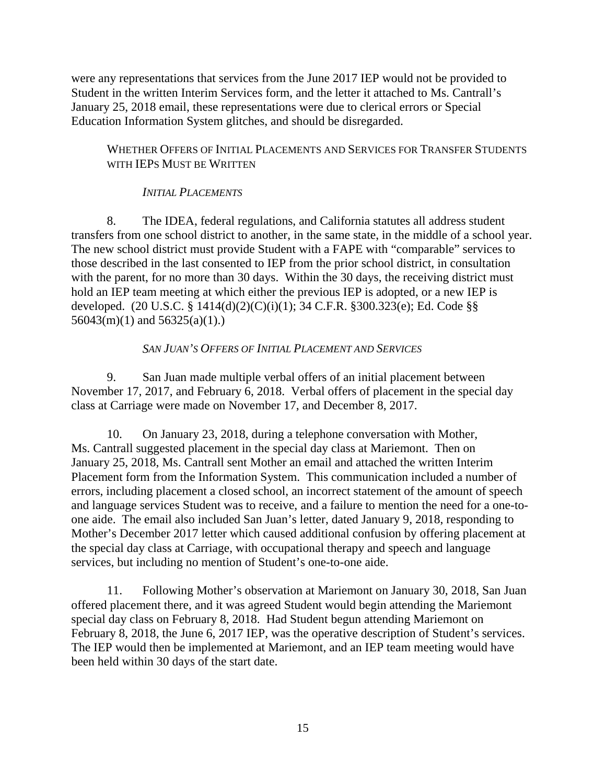were any representations that services from the June 2017 IEP would not be provided to Student in the written Interim Services form, and the letter it attached to Ms. Cantrall's January 25, 2018 email, these representations were due to clerical errors or Special Education Information System glitches, and should be disregarded.

# WHETHER OFFERS OF INITIAL PLACEMENTS AND SERVICES FOR TRANSFER STUDENTS WITH IEPS MUST BE WRITTEN

# *INITIAL PLACEMENTS*

8. The IDEA, federal regulations, and California statutes all address student transfers from one school district to another, in the same state, in the middle of a school year. The new school district must provide Student with a FAPE with "comparable" services to those described in the last consented to IEP from the prior school district, in consultation with the parent, for no more than 30 days. Within the 30 days, the receiving district must hold an IEP team meeting at which either the previous IEP is adopted, or a new IEP is developed. (20 U.S.C. § 1414(d)(2)(C)(i)(1); 34 C.F.R. §300.323(e); Ed. Code §§  $56043(m)(1)$  and  $56325(a)(1)$ .

# *SAN JUAN'S OFFERS OF INITIAL PLACEMENT AND SERVICES*

9. San Juan made multiple verbal offers of an initial placement between November 17, 2017, and February 6, 2018. Verbal offers of placement in the special day class at Carriage were made on November 17, and December 8, 2017.

10. On January 23, 2018, during a telephone conversation with Mother, Ms. Cantrall suggested placement in the special day class at Mariemont. Then on January 25, 2018, Ms. Cantrall sent Mother an email and attached the written Interim Placement form from the Information System. This communication included a number of errors, including placement a closed school, an incorrect statement of the amount of speech and language services Student was to receive, and a failure to mention the need for a one-toone aide. The email also included San Juan's letter, dated January 9, 2018, responding to Mother's December 2017 letter which caused additional confusion by offering placement at the special day class at Carriage, with occupational therapy and speech and language services, but including no mention of Student's one-to-one aide.

11. Following Mother's observation at Mariemont on January 30, 2018, San Juan offered placement there, and it was agreed Student would begin attending the Mariemont special day class on February 8, 2018. Had Student begun attending Mariemont on February 8, 2018, the June 6, 2017 IEP, was the operative description of Student's services. The IEP would then be implemented at Mariemont, and an IEP team meeting would have been held within 30 days of the start date.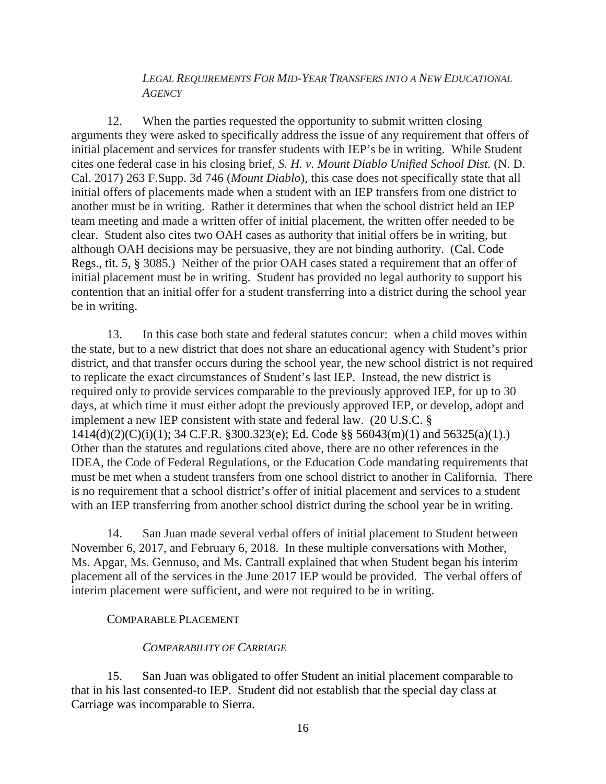# *LEGAL REQUIREMENTS FOR MID-YEAR TRANSFERS INTO A NEW EDUCATIONAL AGENCY*

12. When the parties requested the opportunity to submit written closing arguments they were asked to specifically address the issue of any requirement that offers of initial placement and services for transfer students with IEP's be in writing. While Student cites one federal case in his closing brief, *S. H. v. Mount Diablo Unified School Dist.* (N. D. Cal. 2017) 263 F.Supp. 3d 746 (*Mount Diablo*), this case does not specifically state that all initial offers of placements made when a student with an IEP transfers from one district to another must be in writing. Rather it determines that when the school district held an IEP team meeting and made a written offer of initial placement, the written offer needed to be clear. Student also cites two OAH cases as authority that initial offers be in writing, but although OAH decisions may be persuasive, they are not binding authority. (Cal. Code Regs., tit. 5, § 3085.) Neither of the prior OAH cases stated a requirement that an offer of initial placement must be in writing. Student has provided no legal authority to support his contention that an initial offer for a student transferring into a district during the school year be in writing.

13. In this case both state and federal statutes concur: when a child moves within the state, but to a new district that does not share an educational agency with Student's prior district, and that transfer occurs during the school year, the new school district is not required to replicate the exact circumstances of Student's last IEP. Instead, the new district is required only to provide services comparable to the previously approved IEP, for up to 30 days, at which time it must either adopt the previously approved IEP, or develop, adopt and implement a new IEP consistent with state and federal law. (20 U.S.C. § 1414(d)(2)(C)(i)(1); 34 C.F.R. §300.323(e); Ed. Code §§ 56043(m)(1) and 56325(a)(1).) Other than the statutes and regulations cited above, there are no other references in the IDEA, the Code of Federal Regulations, or the Education Code mandating requirements that must be met when a student transfers from one school district to another in California. There is no requirement that a school district's offer of initial placement and services to a student with an IEP transferring from another school district during the school year be in writing.

14. San Juan made several verbal offers of initial placement to Student between November 6, 2017, and February 6, 2018. In these multiple conversations with Mother, Ms. Apgar, Ms. Gennuso, and Ms. Cantrall explained that when Student began his interim placement all of the services in the June 2017 IEP would be provided. The verbal offers of interim placement were sufficient, and were not required to be in writing.

### COMPARABLE PLACEMENT

# *COMPARABILITY OF CARRIAGE*

15. San Juan was obligated to offer Student an initial placement comparable to that in his last consented-to IEP. Student did not establish that the special day class at Carriage was incomparable to Sierra.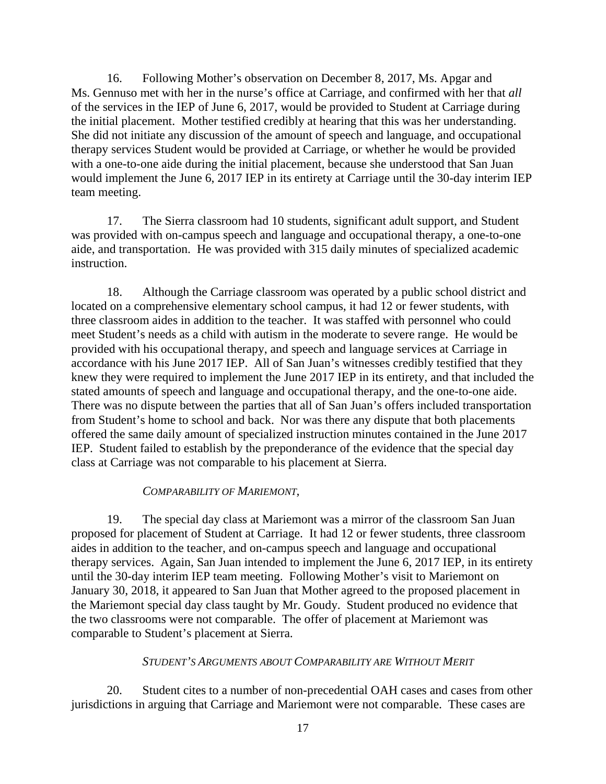16. Following Mother's observation on December 8, 2017, Ms. Apgar and Ms. Gennuso met with her in the nurse's office at Carriage, and confirmed with her that *all* of the services in the IEP of June 6, 2017, would be provided to Student at Carriage during the initial placement. Mother testified credibly at hearing that this was her understanding. She did not initiate any discussion of the amount of speech and language, and occupational therapy services Student would be provided at Carriage, or whether he would be provided with a one-to-one aide during the initial placement, because she understood that San Juan would implement the June 6, 2017 IEP in its entirety at Carriage until the 30-day interim IEP team meeting.

17. The Sierra classroom had 10 students, significant adult support, and Student was provided with on-campus speech and language and occupational therapy, a one-to-one aide, and transportation. He was provided with 315 daily minutes of specialized academic instruction.

18. Although the Carriage classroom was operated by a public school district and located on a comprehensive elementary school campus, it had 12 or fewer students, with three classroom aides in addition to the teacher. It was staffed with personnel who could meet Student's needs as a child with autism in the moderate to severe range. He would be provided with his occupational therapy, and speech and language services at Carriage in accordance with his June 2017 IEP. All of San Juan's witnesses credibly testified that they knew they were required to implement the June 2017 IEP in its entirety, and that included the stated amounts of speech and language and occupational therapy, and the one-to-one aide. There was no dispute between the parties that all of San Juan's offers included transportation from Student's home to school and back. Nor was there any dispute that both placements offered the same daily amount of specialized instruction minutes contained in the June 2017 IEP. Student failed to establish by the preponderance of the evidence that the special day class at Carriage was not comparable to his placement at Sierra.

### *COMPARABILITY OF MARIEMONT,*

19. The special day class at Mariemont was a mirror of the classroom San Juan proposed for placement of Student at Carriage. It had 12 or fewer students, three classroom aides in addition to the teacher, and on-campus speech and language and occupational therapy services. Again, San Juan intended to implement the June 6, 2017 IEP, in its entirety until the 30-day interim IEP team meeting. Following Mother's visit to Mariemont on January 30, 2018, it appeared to San Juan that Mother agreed to the proposed placement in the Mariemont special day class taught by Mr. Goudy. Student produced no evidence that the two classrooms were not comparable. The offer of placement at Mariemont was comparable to Student's placement at Sierra.

# *STUDENT'S ARGUMENTS ABOUT COMPARABILITY ARE WITHOUT MERIT*

20. Student cites to a number of non-precedential OAH cases and cases from other jurisdictions in arguing that Carriage and Mariemont were not comparable. These cases are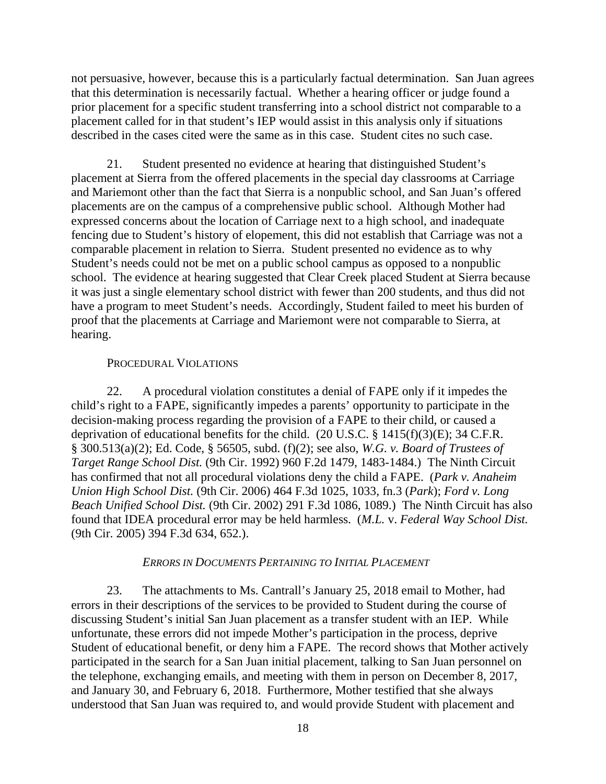not persuasive, however, because this is a particularly factual determination. San Juan agrees that this determination is necessarily factual. Whether a hearing officer or judge found a prior placement for a specific student transferring into a school district not comparable to a placement called for in that student's IEP would assist in this analysis only if situations described in the cases cited were the same as in this case. Student cites no such case.

21. Student presented no evidence at hearing that distinguished Student's placement at Sierra from the offered placements in the special day classrooms at Carriage and Mariemont other than the fact that Sierra is a nonpublic school, and San Juan's offered placements are on the campus of a comprehensive public school. Although Mother had expressed concerns about the location of Carriage next to a high school, and inadequate fencing due to Student's history of elopement, this did not establish that Carriage was not a comparable placement in relation to Sierra. Student presented no evidence as to why Student's needs could not be met on a public school campus as opposed to a nonpublic school. The evidence at hearing suggested that Clear Creek placed Student at Sierra because it was just a single elementary school district with fewer than 200 students, and thus did not have a program to meet Student's needs. Accordingly, Student failed to meet his burden of proof that the placements at Carriage and Mariemont were not comparable to Sierra, at hearing.

#### PROCEDURAL VIOLATIONS

22. A procedural violation constitutes a denial of FAPE only if it impedes the child's right to a FAPE, significantly impedes a parents' opportunity to participate in the decision-making process regarding the provision of a FAPE to their child, or caused a deprivation of educational benefits for the child. (20 U.S.C. § 1415(f)(3)(E); 34 C.F.R. § 300.513(a)(2); Ed. Code, § 56505, subd. (f)(2); see also, *W.G. v. Board of Trustees of Target Range School Dist.* (9th Cir. 1992) 960 F.2d 1479, 1483-1484.) The Ninth Circuit has confirmed that not all procedural violations deny the child a FAPE. (*Park v. Anaheim Union High School Dist.* (9th Cir. 2006) 464 F.3d 1025, 1033, fn.3 (*Park*); *Ford v. Long Beach Unified School Dist.* (9th Cir. 2002) 291 F.3d 1086, 1089.) The Ninth Circuit has also found that IDEA procedural error may be held harmless. (*M.L.* v. *Federal Way School Dist.*  (9th Cir. 2005) 394 F.3d 634, 652.).

### *ERRORS IN DOCUMENTS PERTAINING TO INITIAL PLACEMENT*

23. The attachments to Ms. Cantrall's January 25, 2018 email to Mother, had errors in their descriptions of the services to be provided to Student during the course of discussing Student's initial San Juan placement as a transfer student with an IEP. While unfortunate, these errors did not impede Mother's participation in the process, deprive Student of educational benefit, or deny him a FAPE. The record shows that Mother actively participated in the search for a San Juan initial placement, talking to San Juan personnel on the telephone, exchanging emails, and meeting with them in person on December 8, 2017, and January 30, and February 6, 2018. Furthermore, Mother testified that she always understood that San Juan was required to, and would provide Student with placement and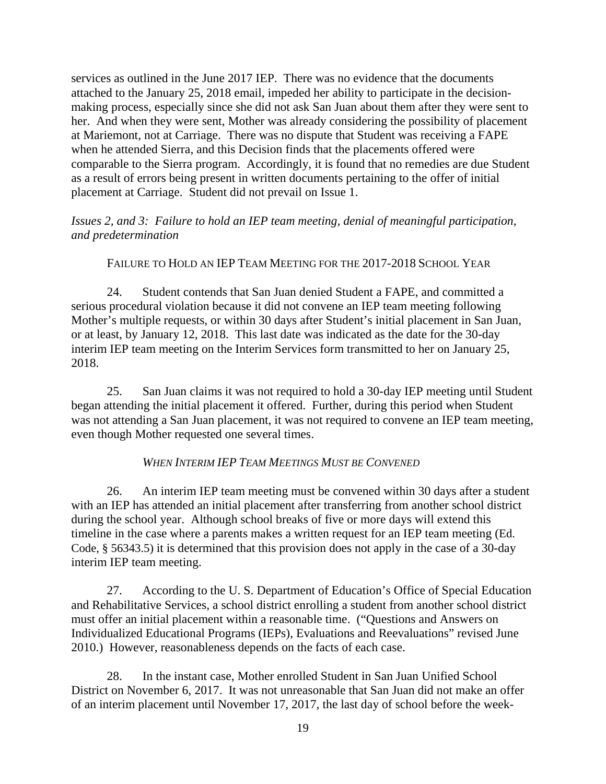services as outlined in the June 2017 IEP. There was no evidence that the documents attached to the January 25, 2018 email, impeded her ability to participate in the decisionmaking process, especially since she did not ask San Juan about them after they were sent to her. And when they were sent, Mother was already considering the possibility of placement at Mariemont, not at Carriage. There was no dispute that Student was receiving a FAPE when he attended Sierra, and this Decision finds that the placements offered were comparable to the Sierra program. Accordingly, it is found that no remedies are due Student as a result of errors being present in written documents pertaining to the offer of initial placement at Carriage. Student did not prevail on Issue 1.

*Issues 2, and 3: Failure to hold an IEP team meeting, denial of meaningful participation, and predetermination* 

# FAILURE TO HOLD AN IEP TEAM MEETING FOR THE 2017-2018 SCHOOL YEAR

24. Student contends that San Juan denied Student a FAPE, and committed a serious procedural violation because it did not convene an IEP team meeting following Mother's multiple requests, or within 30 days after Student's initial placement in San Juan, or at least, by January 12, 2018. This last date was indicated as the date for the 30-day interim IEP team meeting on the Interim Services form transmitted to her on January 25, 2018.

25. San Juan claims it was not required to hold a 30-day IEP meeting until Student began attending the initial placement it offered. Further, during this period when Student was not attending a San Juan placement, it was not required to convene an IEP team meeting, even though Mother requested one several times.

# *WHEN INTERIM IEP TEAM MEETINGS MUST BE CONVENED*

26. An interim IEP team meeting must be convened within 30 days after a student with an IEP has attended an initial placement after transferring from another school district during the school year. Although school breaks of five or more days will extend this timeline in the case where a parents makes a written request for an IEP team meeting (Ed. Code, § 56343.5) it is determined that this provision does not apply in the case of a 30-day interim IEP team meeting.

27. According to the U. S. Department of Education's Office of Special Education and Rehabilitative Services, a school district enrolling a student from another school district must offer an initial placement within a reasonable time. ("Questions and Answers on Individualized Educational Programs (IEPs), Evaluations and Reevaluations" revised June 2010.) However, reasonableness depends on the facts of each case.

28. In the instant case, Mother enrolled Student in San Juan Unified School District on November 6, 2017. It was not unreasonable that San Juan did not make an offer of an interim placement until November 17, 2017, the last day of school before the week-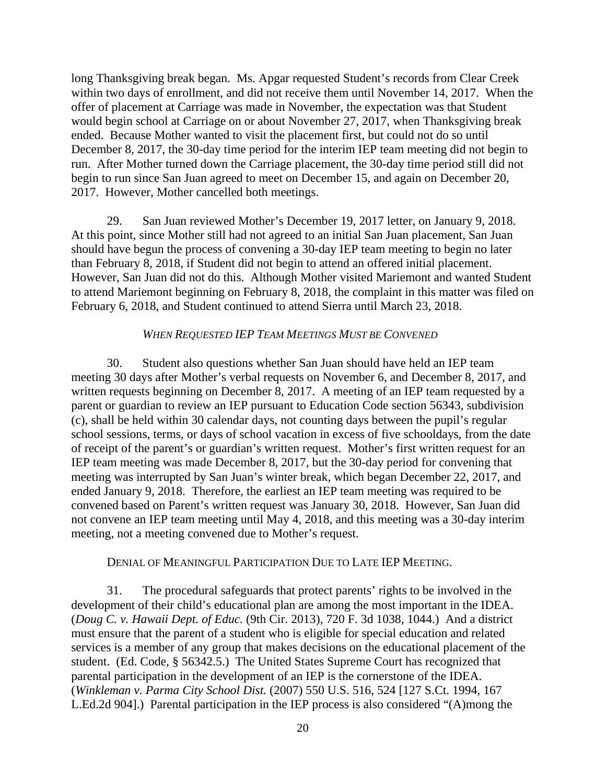long Thanksgiving break began. Ms. Apgar requested Student's records from Clear Creek within two days of enrollment, and did not receive them until November 14, 2017. When the offer of placement at Carriage was made in November, the expectation was that Student would begin school at Carriage on or about November 27, 2017, when Thanksgiving break ended. Because Mother wanted to visit the placement first, but could not do so until December 8, 2017, the 30-day time period for the interim IEP team meeting did not begin to run. After Mother turned down the Carriage placement, the 30-day time period still did not begin to run since San Juan agreed to meet on December 15, and again on December 20, 2017. However, Mother cancelled both meetings.

29. San Juan reviewed Mother's December 19, 2017 letter, on January 9, 2018. At this point, since Mother still had not agreed to an initial San Juan placement, San Juan should have begun the process of convening a 30-day IEP team meeting to begin no later than February 8, 2018, if Student did not begin to attend an offered initial placement. However, San Juan did not do this. Although Mother visited Mariemont and wanted Student to attend Mariemont beginning on February 8, 2018, the complaint in this matter was filed on February 6, 2018, and Student continued to attend Sierra until March 23, 2018.

### *WHEN REQUESTED IEP TEAM MEETINGS MUST BE CONVENED*

30. Student also questions whether San Juan should have held an IEP team meeting 30 days after Mother's verbal requests on November 6, and December 8, 2017, and written requests beginning on December 8, 2017. A meeting of an IEP team requested by a parent or guardian to review an IEP pursuant to Education Code section 56343, subdivision (c), shall be held within 30 calendar days, not counting days between the pupil's regular school sessions, terms, or days of school vacation in excess of five schooldays, from the date of receipt of the parent's or guardian's written request. Mother's first written request for an IEP team meeting was made December 8, 2017, but the 30-day period for convening that meeting was interrupted by San Juan's winter break, which began December 22, 2017, and ended January 9, 2018. Therefore, the earliest an IEP team meeting was required to be convened based on Parent's written request was January 30, 2018. However, San Juan did not convene an IEP team meeting until May 4, 2018, and this meeting was a 30-day interim meeting, not a meeting convened due to Mother's request.

### DENIAL OF MEANINGFUL PARTICIPATION DUE TO LATE IEP MEETING.

31. The procedural safeguards that protect parents' rights to be involved in the development of their child's educational plan are among the most important in the IDEA. (*Doug C. v. Hawaii Dept. of Educ.* (9th Cir. 2013), 720 F. 3d 1038, 1044.) And a district must ensure that the parent of a student who is eligible for special education and related services is a member of any group that makes decisions on the educational placement of the student. (Ed. Code, § 56342.5.) The United States Supreme Court has recognized that parental participation in the development of an IEP is the cornerstone of the IDEA. (*Winkleman v. Parma City School Dist.* (2007) 550 U.S. 516, 524 [127 S.Ct. 1994, 167 L.Ed.2d 904].) Parental participation in the IEP process is also considered "(A)mong the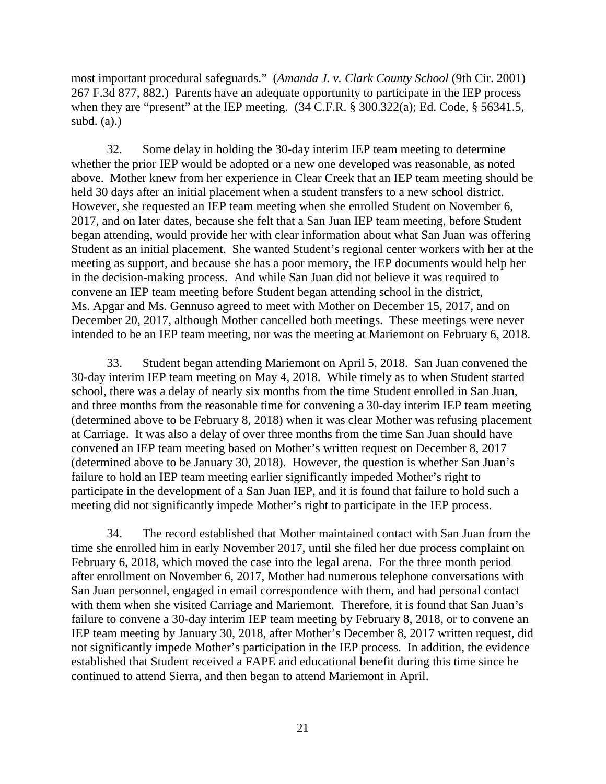most important procedural safeguards." (*Amanda J. v. Clark County School* (9th Cir. 2001) 267 F.3d 877, 882.) Parents have an adequate opportunity to participate in the IEP process when they are "present" at the IEP meeting.  $(34 \text{ C.F.R.} \text{ § } 300.322(a);$  Ed. Code, § 56341.5, subd.  $(a)$ .)

32. Some delay in holding the 30-day interim IEP team meeting to determine whether the prior IEP would be adopted or a new one developed was reasonable, as noted above. Mother knew from her experience in Clear Creek that an IEP team meeting should be held 30 days after an initial placement when a student transfers to a new school district. However, she requested an IEP team meeting when she enrolled Student on November 6, 2017, and on later dates, because she felt that a San Juan IEP team meeting, before Student began attending, would provide her with clear information about what San Juan was offering Student as an initial placement. She wanted Student's regional center workers with her at the meeting as support, and because she has a poor memory, the IEP documents would help her in the decision-making process. And while San Juan did not believe it was required to convene an IEP team meeting before Student began attending school in the district, Ms. Apgar and Ms. Gennuso agreed to meet with Mother on December 15, 2017, and on December 20, 2017, although Mother cancelled both meetings. These meetings were never intended to be an IEP team meeting, nor was the meeting at Mariemont on February 6, 2018.

33. Student began attending Mariemont on April 5, 2018. San Juan convened the 30-day interim IEP team meeting on May 4, 2018. While timely as to when Student started school, there was a delay of nearly six months from the time Student enrolled in San Juan, and three months from the reasonable time for convening a 30-day interim IEP team meeting (determined above to be February 8, 2018) when it was clear Mother was refusing placement at Carriage. It was also a delay of over three months from the time San Juan should have convened an IEP team meeting based on Mother's written request on December 8, 2017 (determined above to be January 30, 2018). However, the question is whether San Juan's failure to hold an IEP team meeting earlier significantly impeded Mother's right to participate in the development of a San Juan IEP, and it is found that failure to hold such a meeting did not significantly impede Mother's right to participate in the IEP process.

34. The record established that Mother maintained contact with San Juan from the time she enrolled him in early November 2017, until she filed her due process complaint on February 6, 2018, which moved the case into the legal arena. For the three month period after enrollment on November 6, 2017, Mother had numerous telephone conversations with San Juan personnel, engaged in email correspondence with them, and had personal contact with them when she visited Carriage and Mariemont. Therefore, it is found that San Juan's failure to convene a 30-day interim IEP team meeting by February 8, 2018, or to convene an IEP team meeting by January 30, 2018, after Mother's December 8, 2017 written request, did not significantly impede Mother's participation in the IEP process. In addition, the evidence established that Student received a FAPE and educational benefit during this time since he continued to attend Sierra, and then began to attend Mariemont in April.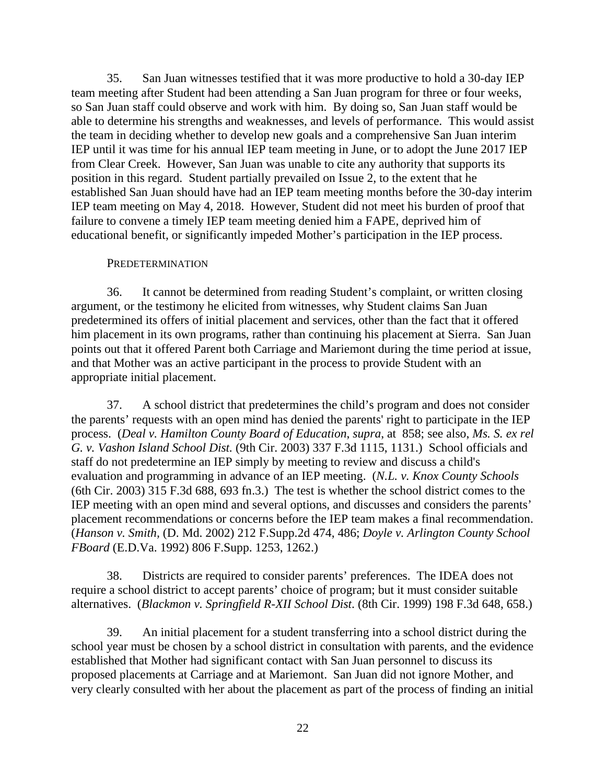35. San Juan witnesses testified that it was more productive to hold a 30-day IEP team meeting after Student had been attending a San Juan program for three or four weeks, so San Juan staff could observe and work with him. By doing so, San Juan staff would be able to determine his strengths and weaknesses, and levels of performance. This would assist the team in deciding whether to develop new goals and a comprehensive San Juan interim IEP until it was time for his annual IEP team meeting in June, or to adopt the June 2017 IEP from Clear Creek. However, San Juan was unable to cite any authority that supports its position in this regard. Student partially prevailed on Issue 2, to the extent that he established San Juan should have had an IEP team meeting months before the 30-day interim IEP team meeting on May 4, 2018. However, Student did not meet his burden of proof that failure to convene a timely IEP team meeting denied him a FAPE, deprived him of educational benefit, or significantly impeded Mother's participation in the IEP process.

#### **PREDETERMINATION**

36. It cannot be determined from reading Student's complaint, or written closing argument, or the testimony he elicited from witnesses, why Student claims San Juan predetermined its offers of initial placement and services, other than the fact that it offered him placement in its own programs, rather than continuing his placement at Sierra. San Juan points out that it offered Parent both Carriage and Mariemont during the time period at issue, and that Mother was an active participant in the process to provide Student with an appropriate initial placement.

37. A school district that predetermines the child's program and does not consider the parents' requests with an open mind has denied the parents' right to participate in the IEP process. (*Deal v. Hamilton County Board of Education*, *supra*, at 858; see also, *Ms. S. ex rel G. v. Vashon Island School Dist.* (9th Cir. 2003) 337 F.3d 1115, 1131.) School officials and staff do not predetermine an IEP simply by meeting to review and discuss a child's evaluation and programming in advance of an IEP meeting. (*N.L. v. Knox County Schools* (6th Cir. 2003) 315 F.3d 688, 693 fn.3.) The test is whether the school district comes to the IEP meeting with an open mind and several options, and discusses and considers the parents' placement recommendations or concerns before the IEP team makes a final recommendation. (*Hanson v. Smith,* (D. Md. 2002) 212 F.Supp.2d 474, 486; *Doyle v. Arlington County School FBoard* (E.D.Va. 1992) 806 F.Supp. 1253, 1262.)

38. Districts are required to consider parents' preferences. The IDEA does not require a school district to accept parents' choice of program; but it must consider suitable alternatives. (*Blackmon v. Springfield R-XII School Dist*. (8th Cir. 1999) 198 F.3d 648, 658.)

39. An initial placement for a student transferring into a school district during the school year must be chosen by a school district in consultation with parents, and the evidence established that Mother had significant contact with San Juan personnel to discuss its proposed placements at Carriage and at Mariemont. San Juan did not ignore Mother, and very clearly consulted with her about the placement as part of the process of finding an initial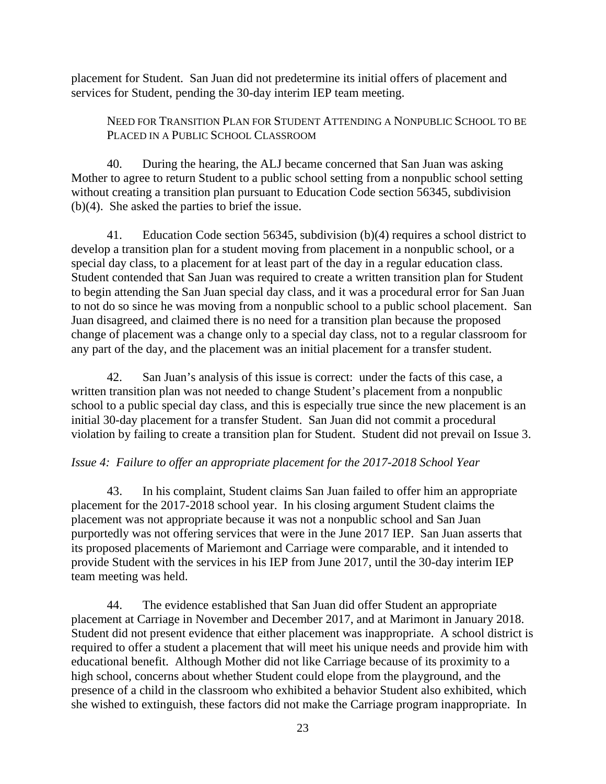placement for Student. San Juan did not predetermine its initial offers of placement and services for Student, pending the 30-day interim IEP team meeting.

NEED FOR TRANSITION PLAN FOR STUDENT ATTENDING A NONPUBLIC SCHOOL TO BE PLACED IN A PUBLIC SCHOOL CLASSROOM

40. During the hearing, the ALJ became concerned that San Juan was asking Mother to agree to return Student to a public school setting from a nonpublic school setting without creating a transition plan pursuant to Education Code section 56345, subdivision (b)(4). She asked the parties to brief the issue.

41. Education Code section 56345, subdivision (b)(4) requires a school district to develop a transition plan for a student moving from placement in a nonpublic school, or a special day class, to a placement for at least part of the day in a regular education class. Student contended that San Juan was required to create a written transition plan for Student to begin attending the San Juan special day class, and it was a procedural error for San Juan to not do so since he was moving from a nonpublic school to a public school placement. San Juan disagreed, and claimed there is no need for a transition plan because the proposed change of placement was a change only to a special day class, not to a regular classroom for any part of the day, and the placement was an initial placement for a transfer student.

42. San Juan's analysis of this issue is correct: under the facts of this case, a written transition plan was not needed to change Student's placement from a nonpublic school to a public special day class, and this is especially true since the new placement is an initial 30-day placement for a transfer Student. San Juan did not commit a procedural violation by failing to create a transition plan for Student. Student did not prevail on Issue 3.

# *Issue 4: Failure to offer an appropriate placement for the 2017-2018 School Year*

43. In his complaint, Student claims San Juan failed to offer him an appropriate placement for the 2017-2018 school year. In his closing argument Student claims the placement was not appropriate because it was not a nonpublic school and San Juan purportedly was not offering services that were in the June 2017 IEP. San Juan asserts that its proposed placements of Mariemont and Carriage were comparable, and it intended to provide Student with the services in his IEP from June 2017, until the 30-day interim IEP team meeting was held.

44. The evidence established that San Juan did offer Student an appropriate placement at Carriage in November and December 2017, and at Marimont in January 2018. Student did not present evidence that either placement was inappropriate. A school district is required to offer a student a placement that will meet his unique needs and provide him with educational benefit. Although Mother did not like Carriage because of its proximity to a high school, concerns about whether Student could elope from the playground, and the presence of a child in the classroom who exhibited a behavior Student also exhibited, which she wished to extinguish, these factors did not make the Carriage program inappropriate. In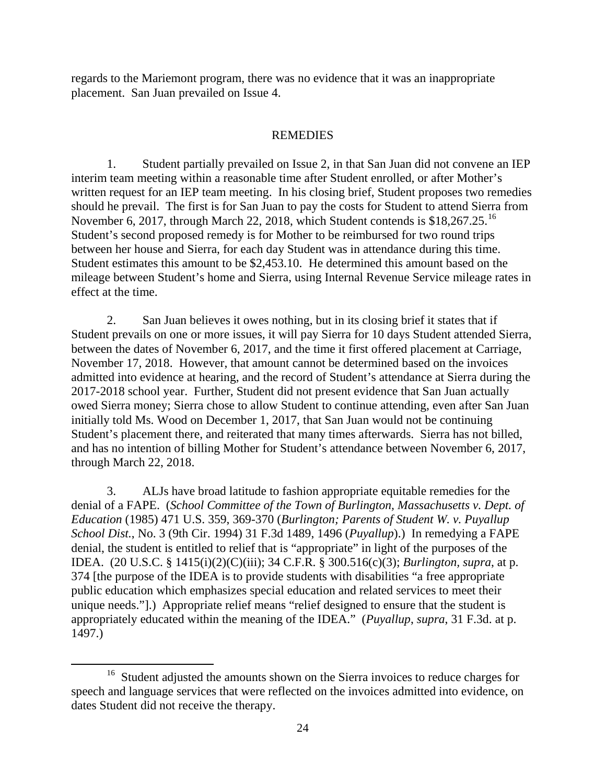regards to the Mariemont program, there was no evidence that it was an inappropriate placement. San Juan prevailed on Issue 4.

# REMEDIES

1. Student partially prevailed on Issue 2, in that San Juan did not convene an IEP interim team meeting within a reasonable time after Student enrolled, or after Mother's written request for an IEP team meeting. In his closing brief, Student proposes two remedies should he prevail. The first is for San Juan to pay the costs for Student to attend Sierra from November 6, 2017, through March 22, 2018, which Student contends is \$18,267.25.<sup>[16](#page-23-0)</sup> Student's second proposed remedy is for Mother to be reimbursed for two round trips between her house and Sierra, for each day Student was in attendance during this time. Student estimates this amount to be \$2,453.10. He determined this amount based on the mileage between Student's home and Sierra, using Internal Revenue Service mileage rates in effect at the time.

2. San Juan believes it owes nothing, but in its closing brief it states that if Student prevails on one or more issues, it will pay Sierra for 10 days Student attended Sierra, between the dates of November 6, 2017, and the time it first offered placement at Carriage, November 17, 2018. However, that amount cannot be determined based on the invoices admitted into evidence at hearing, and the record of Student's attendance at Sierra during the 2017-2018 school year. Further, Student did not present evidence that San Juan actually owed Sierra money; Sierra chose to allow Student to continue attending, even after San Juan initially told Ms. Wood on December 1, 2017, that San Juan would not be continuing Student's placement there, and reiterated that many times afterwards. Sierra has not billed, and has no intention of billing Mother for Student's attendance between November 6, 2017, through March 22, 2018.

3. ALJs have broad latitude to fashion appropriate equitable remedies for the denial of a FAPE. (*School Committee of the Town of Burlington, Massachusetts v. Dept. of Education* (1985) 471 U.S. 359, 369-370 (*Burlington; Parents of Student W. v. Puyallup School Dist.*, No. 3 (9th Cir. 1994) 31 F.3d 1489, 1496 (*Puyallup*).) In remedying a FAPE denial, the student is entitled to relief that is "appropriate" in light of the purposes of the IDEA. (20 U.S.C. § 1415(i)(2)(C)(iii); 34 C.F.R. § 300.516(c)(3); *Burlington, supra*, at p. 374 [the purpose of the IDEA is to provide students with disabilities "a free appropriate public education which emphasizes special education and related services to meet their unique needs."].) Appropriate relief means "relief designed to ensure that the student is appropriately educated within the meaning of the IDEA." (*Puyallup*, *supra*, 31 F.3d. at p. 1497.)

<span id="page-23-0"></span><sup>&</sup>lt;sup>16</sup> Student adjusted the amounts shown on the Sierra invoices to reduce charges for speech and language services that were reflected on the invoices admitted into evidence, on dates Student did not receive the therapy.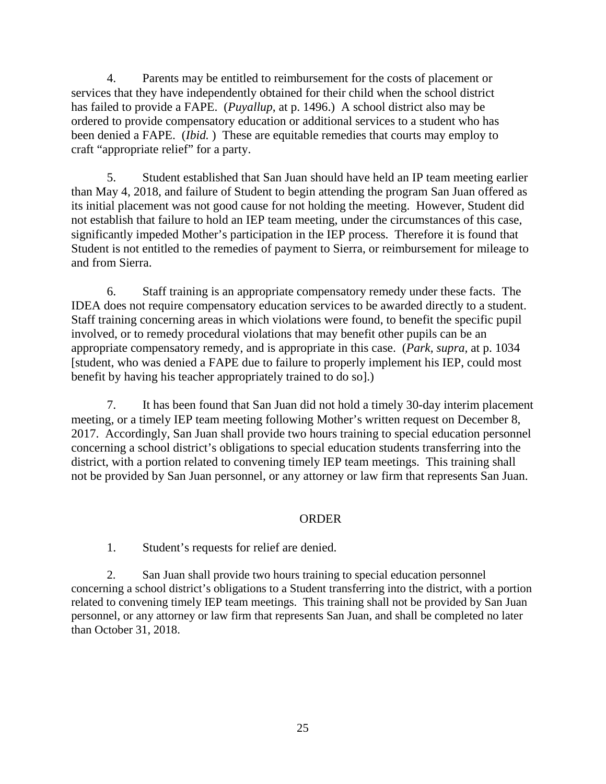4. Parents may be entitled to reimbursement for the costs of placement or services that they have independently obtained for their child when the school district has failed to provide a FAPE. (*Puyallup*, at p. 1496.) A school district also may be ordered to provide compensatory education or additional services to a student who has been denied a FAPE. (*Ibid.* ) These are equitable remedies that courts may employ to craft "appropriate relief" for a party.

5. Student established that San Juan should have held an IP team meeting earlier than May 4, 2018, and failure of Student to begin attending the program San Juan offered as its initial placement was not good cause for not holding the meeting. However, Student did not establish that failure to hold an IEP team meeting, under the circumstances of this case, significantly impeded Mother's participation in the IEP process. Therefore it is found that Student is not entitled to the remedies of payment to Sierra, or reimbursement for mileage to and from Sierra.

6. Staff training is an appropriate compensatory remedy under these facts. The IDEA does not require compensatory education services to be awarded directly to a student. Staff training concerning areas in which violations were found, to benefit the specific pupil involved, or to remedy procedural violations that may benefit other pupils can be an appropriate compensatory remedy, and is appropriate in this case. (*Park, supra,* at p. 1034 [student, who was denied a FAPE due to failure to properly implement his IEP, could most benefit by having his teacher appropriately trained to do so].)

7. It has been found that San Juan did not hold a timely 30-day interim placement meeting, or a timely IEP team meeting following Mother's written request on December 8, 2017. Accordingly, San Juan shall provide two hours training to special education personnel concerning a school district's obligations to special education students transferring into the district, with a portion related to convening timely IEP team meetings. This training shall not be provided by San Juan personnel, or any attorney or law firm that represents San Juan.

# ORDER

1. Student's requests for relief are denied.

2. San Juan shall provide two hours training to special education personnel concerning a school district's obligations to a Student transferring into the district, with a portion related to convening timely IEP team meetings. This training shall not be provided by San Juan personnel, or any attorney or law firm that represents San Juan, and shall be completed no later than October 31, 2018.